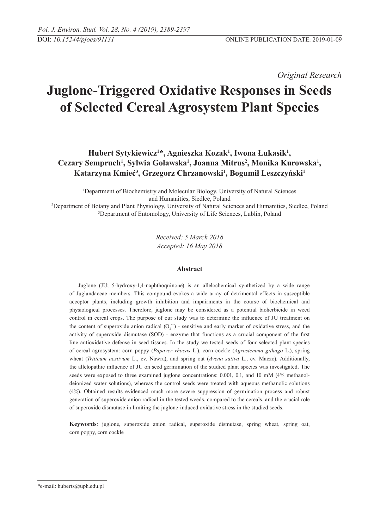*Original Research* 

# **Juglone-Triggered Oxidative Responses in Seeds of Selected Cereal Agrosystem Plant Species**

**Hubert Sytykiewicz1 \*, Agnieszka Kozak1 , Iwona Łukasik1 ,**  Cezary Sempruch<sup>1</sup>, Sylwia Goławska<sup>1</sup>, Joanna Mitrus<sup>2</sup>, Monika Kurowska<sup>1</sup>, Katarzyna Kmieć<sup>3</sup>, Grzegorz Chrzanowski<sup>1</sup>, Bogumił Leszczyński<sup>1</sup>

<sup>1</sup>Department of Biochemistry and Molecular Biology, University of Natural Sciences and Humanities, Siedlce, Poland<br><sup>2</sup>Department of Botany and Plant Physiology, University of Natural Scie

Department of Botany and Plant Physiology, University of Natural Sciences and Humanities, Siedlce, Poland<br><sup>3</sup>Department of Entomology, University of Life Sciences, Lublin, Poland <sup>3</sup>Department of Entomology, University of Life Sciences, Lublin, Poland

> *Received: 5 March 2018 Accepted: 16 May 2018*

## **Abstract**

Juglone (JU; 5-hydroxy-1,4-naphthoquinone) is an allelochemical synthetized by a wide range of Juglandaceae members. This compound evokes a wide array of detrimental effects in susceptible acceptor plants, including growth inhibition and impairments in the course of biochemical and physiological processes. Therefore, juglone may be considered as a potential bioherbicide in weed control in cereal crops. The purpose of our study was to determine the influence of JU treatment on the content of superoxide anion radical  $(O_2^{\bullet})$  - sensitive and early marker of oxidative stress, and the activity of superoxide dismutase (SOD) - enzyme that functions as a crucial component of the first line antioxidative defense in seed tissues. In the study we tested seeds of four selected plant species of cereal agrosystem: corn poppy (*Papaver rhoeas* L.), corn cockle (*Agrostemma githago* L.), spring wheat (*Triticum aestivum* L., cv. Nawra), and spring oat (*Avena sativa* L., cv. Maczo). Additionally, the allelopathic influence of JU on seed germination of the studied plant species was investigated. The seeds were exposed to three examined juglone concentrations: 0.001, 0.1, and 10 mM (4% methanoldeionized water solutions), whereas the control seeds were treated with aqueous methanolic solutions (4%). Obtained results evidenced much more severe suppression of germination process and robust generation of superoxide anion radical in the tested weeds, compared to the cereals, and the crucial role of superoxide dismutase in limiting the juglone-induced oxidative stress in the studied seeds.

**Keywords**: juglone, superoxide anion radical, superoxide dismutase, spring wheat, spring oat, corn poppy, corn cockle

<sup>\*</sup>e-mail: huberts@uph.edu.pl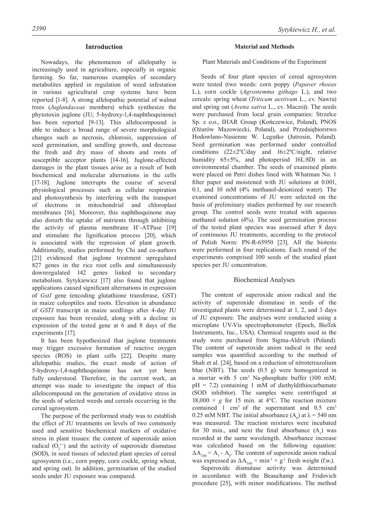## **Introduction**

Nowadays, the phenomenon of allelopathy is increasingly used in agriculture, especially in organic farming. So far, numerous examples of secondary metabolites applied in regulation of weed infestation in various agricultural crop systems have been reported [1-8]. A strong allelopathic potential of walnut trees (*Juglandaceae* members) which synthesize the phytotoxin juglone (JU; 5-hydroxy-1,4-naphthoquinone) has been reported [9-13]. This allelocompound is able to induce a broad range of severe morphological changes such as necrosis, chlorosis, suppression of seed germination, and seedling growth, and decrease the fresh and dry mass of shoots and roots of susceptible acceptor plants [14-16]. Juglone-affected damages in the plant tissues arise as a result of both biochemical and molecular alternations in the cells [17-18]. Juglone interrupts the course of several physiological processes such as cellular respiration and photosynthesis by interfering with the transport of electrons in mitochondrial and chloroplast membranes [16]. Moreover, this naphthoquinone may also disturb the uptake of nutrients through inhibiting the activity of plasma membrane H<sup>+</sup>-ATPase [19] and stimulate the lignification process [20], which is associated with the repression of plant growth. Additionally, studies performed by Chi and co-authors [21] evidenced that juglone treatment upregulated 827 genes in the rice root cells and simultaneously downregulated 142 genes linked to secondary metabolism. Sytykiewicz [17] also found that juglone applications caused significant alternations in expression of *GstI* gene (encoding glutathione transferase, GST) in maize coleoptiles and roots. Elevation in abundance of *GSTI* transcript in maize seedlings after 4-day JU exposure has been revealed, along with a decline in expression of the tested gene at 6 and 8 days of the experiments [17].

It has been hypothesized that juglone treatments may trigger excessive formation of reactive oxygen species (ROS) in plant cells [22]. Despite many allelopathic studies, the exact mode of action of 5-hydroxy-1,4-naphthoquinone has not yet been fully understood. Therefore, in the current work, an attempt was made to investigate the impact of this allelocompound on the generation of oxidative stress in the seeds of selected weeds and cereals occurring in the cereal agrosystem.

The purpose of the performed study was to establish the effect of JU treatments on levels of two commonly used and sensitive biochemical markers of oxidative stress in plant tissues: the content of superoxide anion radical  $(O_2^-)$  and the activity of superoxide dismutase (SOD), in seed tissues of selected plant species of cereal agrosystem (i.e., corn poppy, corn cockle, spring wheat, and spring oat). In addition, germination of the studied seeds under JU exposure was compared.

## **Material and Methods**

## Plant Materials and Conditions of the Experiment

Seeds of four plant species of cereal agrosystem were tested (two weeds: corn poppy (*Papaver rhoeas* L.), corn cockle (*Agrostemma githago* L.), and two cereals: spring wheat (*Triticum aestivum* L., cv. Nawra) and spring oat (*Avena sativa* L., cv. Maczo)). The seeds were purchased from local grain companies: Strzelce Sp. z o.o., IHAR Group (Kończewice, Poland), PNOS (Ożarów Mazowiecki, Poland), and Przedsiębiorstwo Hodowlano-Nasienne W. Legutko (Jutrosin, Poland). Seed germination was performed under controlled conditions (22±2ºC/day and 16±2ºC/night, relative humidity 65±5%, and photoperiod 16L:8D) in an environmental chamber. The seeds of examined plants were placed on Petri dishes lined with Whatman No. 1 filter paper and moistened with JU solutions at 0.001, 0.1, and 10 mM (4% methanol-deionized water). The examined concentrations of JU were selected on the basis of preliminary studies performed by our research group. The control seeds were treated with aqueous methanol solution (4%). The seed germination process of the tested plant species was assessed after 8 days of continuous JU treatments, according to the protocol of Polish Norm: PN-R-65950 [23]. All the biotests were performed in four replications. Each round of the experiments comprised 100 seeds of the studied plant species per JU concentration.

#### Biochemical Analyses

The content of superoxide anion radical and the activity of superoxide dismutase in seeds of the investigated plants were determined at 1, 2, and 3 days of JU exposure. The analyses were conducted using a microplate UV-Vis spectrophotometer (Epoch, BioTek Instruments, Inc., USA). Chemical reagents used in the study were purchased from Sigma-Aldrich (Poland). The content of superoxide anion radical in the seed samples was quantified according to the method of Shah et al. [24], based on a reduction of nitrotetrazolium blue (NBT). The seeds (0.5 g) were homogenized in a mortar with 5 cm<sup>3</sup> Na-phosphate buffer (100 mM;  $pH = 7.2$ ) containing 1 mM of diethyldithiocarbamate (SOD inhibitor). The samples were centrifuged at 18,000  $\times$  *g* for 15 min. at 4°C. The reaction mixture contained 1 cm<sup>3</sup> of the supernatant and  $0.5$  cm<sup>3</sup> 0.25 mM NBT. The initial absorbance  $(A_0)$  at  $\lambda = 540$  nm was measured. The reaction mixtures were incubated for 30 min., and next the final absorbance  $(A_1)$  was recorded at the same wavelength. Absorbance increase was calculated based on the following equation:  $\Delta A_{540} = A_1 - A_0$ . The content of superoxide anion radical was expressed as  $\Delta A_{540} \times \text{min}^{1} \times \text{g}^{1}$  fresh weight (f.w.).

Superoxide dismutase activity was determined in accordance with the Beauchamp and Fridovich procedure [25], with minor modifications. The method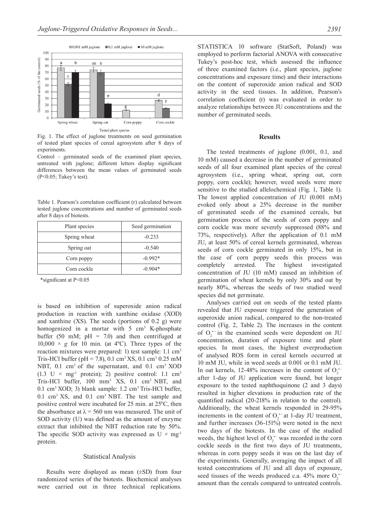

Fig. 1. The effect of juglone treatments on seed germination of tested plant species of cereal agrosystem after 8 days of **experiments**.

Control – germinated seeds of the examined plant species, untreated with juglone; different letters display significant differences between the mean values of germinated seeds (P<0.05; Tukey's test).

Table 1. Pearson's correlation coefficient (r) calculated between tested juglone concentrations and number of germinated seeds after 8 days of biotests.

| Plant species | Seed germination |  |
|---------------|------------------|--|
| Spring wheat  | $-0.233$         |  |
| Spring oat    | $-0.540$         |  |
| Corn poppy    | $-0.992*$        |  |
| Corn cockle   | $-0.904*$        |  |

\*significant at P<0.05

is based on inhibition of superoxide anion radical production in reaction with xanthine oxidase (XOD) and xanthine (XS). The seeds (portions of 0.2 g) were homogenized in a mortar with  $5 \text{ cm}^3$  K-phosphate buffer (50 mM;  $pH = 7.0$ ) and then centrifuged at  $10,000 \times g$  for 10 min. (at 4<sup>o</sup>C). Three types of the reaction mixtures were prepared: 1) test sample: 1.1 cm<sup>3</sup> Tris-HCl buffer (pH = 7.8), 0.1 cm<sup>3</sup> XS, 0.1 cm<sup>3</sup> 0.25 mM NBT, 0.1 cm<sup>3</sup> of the supernatant, and 0.1 cm<sup>3</sup> XOD (1.3 U  $\times$  mg<sup>-1</sup> protein); 2) positive control: 1.1 cm<sup>3</sup> Tris-HCl buffer, 100 mm3 XS, 0.1 cm3 NBT, and 0.1 cm3 XOD; 3) blank sample: 1.2 cm3 Tris-HCl buffer, 0.1 cm3 XS, and 0.1 cm3 NBT. The test sample and positive control were incubated for 25 min. at 25ºC, then the absorbance at  $\lambda$  = 560 nm was measured. The unit of SOD activity (U) was defined as the amount of enzyme extract that inhibited the NBT reduction rate by 50%. The specific SOD activity was expressed as  $U \times mg^{-1}$ protein.

#### Statistical Analysis

Results were displayed as mean (±SD) from four randomized series of the biotests. Biochemical analyses were carried out in three technical replications.

STATISTICA 10 software (StatSoft, Poland) was employed to perform factorial ANOVA with consecutive Tukey's post-hoc test, which assessed the influence of three examined factors (i.e., plant species, juglone concentrations and exposure time) and their interactions on the content of superoxide anion radical and SOD activity in the seed tissues. In addition, Pearson's correlation coefficient (r) was evaluated in order to analyze relationships between JU concentrations and the number of germinated seeds.

## **Results**

The tested treatments of juglone (0.001, 0.1, and 10 mM) caused a decrease in the number of germinated seeds of all four examined plant species of the cereal agrosystem (i.e., spring wheat, spring oat, corn poppy, corn cockle); however, weed seeds were more sensitive to the studied allelochemical (Fig. 1, Table 1). The lowest applied concentration of JU (0.001 mM) evoked only about a 25% decrease in the number of germinated seeds of the examined cereals, but germination process of the seeds of corn poppy and corn cockle was more severely suppressed (88% and 73%, respectively). After the application of 0.1 mM JU, at least 50% of cereal kernels germinated, whereas seeds of corn cockle germinated in only 15%, but in the case of corn poppy seeds this process was completely arrested. The highest investigated concentration of JU (10 mM) caused an inhibition of germination of wheat kernels by only 30% and oat by nearly 80%, whereas the seeds of two studied weed species did not germinate.

Analyses carried out on seeds of the tested plants revealed that JU exposure triggered the generation of superoxide anion radical, compared to the non-treated control (Fig. 2, Table 2). The increases in the content of  $O_2$ <sup> $-$ </sup> in the examined seeds were dependent on JU concentration, duration of exposure time and plant species. In most cases, the highest overproduction of analysed ROS form in cereal kernels occurred at 10 mM JU, while in weed seeds at 0.001 or 0.1 mM JU. In oat kernels, 12-48% increases in the content of  $O_2$ . after 1-day of JU application were found, but longer exposure to the tested naphthoquinone (2 and 3 days) resulted in higher elevations in production rate of the quantified radical (20-218% in relation to the control). Additionally, the wheat kernels responded in 29-95% increments in the content of  $O_2$  at 1-day JU treatment, and further increases  $(36-151\%)$  were noted in the next two days of the biotests. In the case of the studied weeds, the highest level of  $O_2^{\text{-}}$  was recorded in the corn cockle seeds in the first two days of JU treatments, whereas in corn poppy seeds it was on the last day of the experiments. Generally, averaging the impact of all tested concentrations of JU and all days of exposure, seed tissues of the weeds produced c.a. 45% more  $O_2$ . amount than the cereals compared to untreated controls.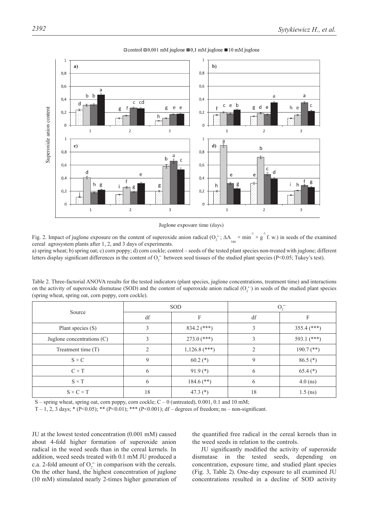

#### $\Box$ control  $\Box$ 0,001 mM juglone  $\Box$ 0,1 mM juglone  $\Box$ 10 mM juglone

Juglone exposure time (days)

Fig. 2. Impact of juglone exposure on the content of superoxide anion radical  $(O_2^{\leftarrow}; \Delta A_{540} \times min^{-1} \times g^2 f$ . w.) in seeds of the examined cereal agrosystem plants after 1, 2, and 3 days of experiments.

a) spring wheat; b) spring oat; c) corn poppy; d) corn cockle; control – seeds of the tested plant species non-treated with juglone; different letters display significant differences in the content of  $O_2^{\bullet-}$  between seed tissues of the studied plant species (P<0.05; Tukey's test).

Table 2*.* Three-factorial ANOVA results for the tested indicators (plant species, juglone concentrations, treatment time) and interactions on the activity of superoxide dismutase (SOD) and the content of superoxide anion radical  $(O_2^-)$  in seeds of the studied plant species (spring wheat, spring oat, corn poppy, corn cockle).

| Source                       | <b>SOD</b>     |                 | $O_2$          |               |
|------------------------------|----------------|-----------------|----------------|---------------|
|                              | df             | F               | df             | F             |
| Plant species (S)            | 3              | $834.2$ (***)   | 3              | $355.4$ (***) |
| Juglone concentrations $(C)$ | 3              | $273.0$ (***)   | 3              | 593.1 $(***)$ |
| Treatment time $(T)$         | $\mathfrak{D}$ | $1,126.8$ (***) | $\mathfrak{D}$ | $190.7$ (**)  |
| $S \times C$                 | 9              | $60.2$ (*)      | 9              | $86.5$ (*)    |
| $C \times T$                 | 6              | $91.9(*)$       | 6              | $65.4$ (*)    |
| $S \times T$                 | 6              | $184.6$ (**)    | 6              | $4.0$ (ns)    |
| $S \times C \times T$        | 18             | 47.3 $(*)$      | 18             | $1.5$ (ns)    |

S – spring wheat, spring oat, corn poppy, corn cockle; C – 0 (untreated), 0.001, 0.1 and 10 mM;

T – 1, 2, 3 days; \* (P<0.05); \*\* (P<0.01); \*\*\* (P<0.001); df – degrees of freedom; ns – non-significant.

JU at the lowest tested concentration (0.001 mM) caused about 4-fold higher formation of superoxide anion radical in the weed seeds than in the cereal kernels. In addition, weed seeds treated with 0.1 mM JU produced a c.a. 2-fold amount of  $O_2$ <sup>-</sup> in comparison with the cereals. On the other hand, the highest concentration of juglone (10 mM) stimulated nearly 2-times higher generation of

the quantified free radical in the cereal kernels than in the weed seeds in relation to the controls.

JU significantly modified the activity of superoxide dismutase in the tested seeds, depending on concentration, exposure time, and studied plant species (Fig. 3, Table 2). One-day exposure to all examined JU concentrations resulted in a decline of SOD activity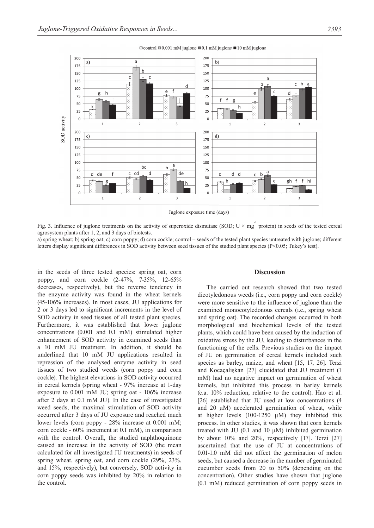

 $\Box$ control  $\Box$ 0.001 mM juglone  $\Box$ 0.1 mM juglone  $\Box$ 10 mM juglone

Juglone exposure time (days)

Fig. 3. Influence of juglone treatments on the activity of superoxide dismutase (SOD;  $U \times mg^{-1}$  protein) in seeds of the tested cereal agrosystem plants after 1, 2, and 3 days of biotests.

a) spring wheat; b) spring oat; c) corn poppy; d) corn cockle; control – seeds of the tested plant species untreated with juglone; different letters display significant differences in SOD activity between seed tissues of the studied plant species (P<0.05; Tukey's test).

in the seeds of three tested species: spring oat, corn poppy, and corn cockle (2-47%, 7-35%, 12-65% decreases, respectively), but the reverse tendency in the enzyme activity was found in the wheat kernels (45-106% increases). In most cases, JU applications for 2 or 3 days led to significant increments in the level of SOD activity in seed tissues of all tested plant species. Furthermore, it was established that lower juglone concentrations (0.001 and 0.1 mM) stimulated higher enhancement of SOD activity in examined seeds than a 10 mM JU treatment. In addition, it should be underlined that 10 mM JU applications resulted in repression of the analysed enzyme activity in seed tissues of two studied weeds (corn poppy and corn cockle). The highest elevations in SOD activity occurred in cereal kernels (spring wheat - 97% increase at 1-day exposure to 0.001 mM JU; spring oat - 106% increase after 2 days at 0.1 mM JU). In the case of investigated weed seeds, the maximal stimulation of SOD activity occurred after 3 days of JU exposure and reached much lower levels (corn poppy - 28% increase at 0.001 mM; corn cockle - 60% increment at 0.1 mM), in comparison with the control. Overall, the studied naphthoquinone caused an increase in the activity of SOD (the mean calculated for all investigated JU treatments) in seeds of spring wheat, spring oat, and corn cockle (29%, 23%, and 15%, respectively), but conversely, SOD activity in corn poppy seeds was inhibited by 20% in relation to the control.

#### **Discussion**

The carried out research showed that two tested dicotyledonous weeds (i.e., corn poppy and corn cockle) were more sensitive to the influence of juglone than the examined monocotyledonous cereals (i.e., spring wheat and spring oat). The recorded changes occurred in both morphological and biochemical levels of the tested plants, which could have been caused by the induction of oxidative stress by the JU, leading to disturbances in the functioning of the cells. Previous studies on the impact of JU on germination of cereal kernels included such species as barley, maize, and wheat [15, 17, 26]. Terzi and Kocaçalişkan [27] elucidated that JU treatment (1 mM) had no negative impact on germination of wheat kernels, but inhibited this process in barley kernels (c.a. 10% reduction, relative to the control). Hao et al. [26] established that JU used at low concentrations (4 and  $20 \mu M$ ) accelerated germination of wheat, while at higher levels  $(100-1250 \mu M)$  they inhibited this process. In other studies, it was shown that corn kernels treated with JU (0.1 and 10 μM) inhibited germination by about 10% and 20%, respectively [17]. Terzi [27] ascertained that the use of JU at concentrations of 0.01-1.0 mM did not affect the germination of melon seeds, but caused a decrease in the number of germinated cucumber seeds from 20 to 50% (depending on the concentration). Other studies have shown that juglone (0.1 mM) reduced germination of corn poppy seeds in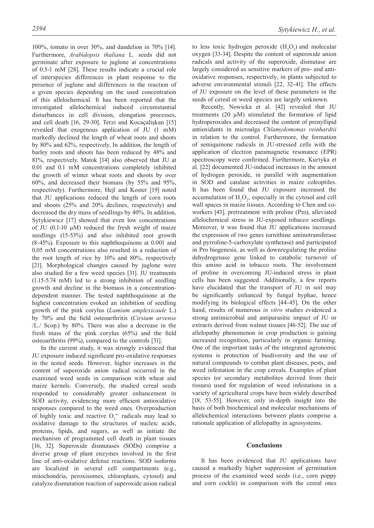100%, tomato in over 30%, and dandelion in 70% [14]. Furthermore, *Arabidopsis thaliana* L. seeds did not germinate after exposure to juglone at concentrations of 0.5-1 mM [28]. These results indicate a crucial role of interspecies differences in plant response to the presence of juglone and differences in the reaction of a given species depending on the used concentration of this allelochemical. It has been reported that the investigated allelochemical induced circumstantial disturbances in cell division, elongation processes, and cell death [16, 29-30]. Terzi and Kocaçalişkan [15] revealed that exogenous application of JU (1 mM) markedly declined the length of wheat roots and shoots by 80% and 62%, respectively. In addition, the length of barley roots and shoots has been reduced by 48% and 81%, respectively. Matok [14] also observed that JU at 0.01 and 0.1 mM concentrations completely inhibited the growth of winter wheat roots and shoots by over 60%, and decreased their biomass (by 55% and 95%, respectively). Furthermore, Hejl and Koster [19] noted that JU applications reduced the length of corn roots and shoots (25% and 20% declines, respectively) and decreased the dry mass of seedlings by 40%. In addition, Sytykiewicz [17] showed that even low concentrations of JU (0.1-10 μM) reduced the fresh weight of maize seedlings (15-53%) and also inhibited root growth (8-45%). Exposure to this naphthoquinone at 0.001 and 0.05 mM concentrations also resulted in a reduction of the root length of rice by 10% and 80%, respectively [21]. Morphological changes caused by juglone were also studied for a few weed species [31]. JU treatments (1.15-5.74 mM) led to a strong inhibition of seedling growth and decline in the biomass in a concentrationdependent manner. The tested naphthoquinone at the highest concentration evoked an inhibition of seedling growth of the pink corylus (*Lamium amplexicaule* L.) by 70% and the field osteoarthritis (*Cirsium arvense* /L./ Scop.) by 80%. There was also a decrease in the fresh mass of the pink corylus (65%) and the field osteoarthritis (99%), compared to the controls [31].

In the current study, it was strongly evidenced that JU exposure induced significant pro-oxidative responses in the tested seeds. However, higher increases in the content of superoxide anion radical occurred in the examined weed seeds in comparison with wheat and maize kernels. Conversely, the studied cereal seeds responded to considerably greater enhancement in SOD activity, evidencing more efficient antioxidative responses compared to the weed ones. Overproduction of highly toxic and reactive O<sub>2</sub><sup>−</sup> radicals may lead to oxidative damage to the structures of nucleic acids, proteins, lipids, and sugars, as well as initiate the mechanism of programmed cell death in plant tissues [16, 32]. Superoxide dismutases (SODs) comprise a diverse group of plant enzymes involved in the first line of anti-oxidative defense reactions. SOD isoforms are localized in several cell compartments (e.g., mitochondria, peroxisomes, chloroplasts, cytosol) and catalyze dismutation reaction of superoxide anion radical

to less toxic hydrogen peroxide  $(H_2O_2)$  and molecular oxygen [33-34]. Despite the content of superoxide anion radicals and activity of the superoxide, dismutase are largely considered as sensitive markers of pro- and antioxidative responses, respectively, in plants subjected to adverse environmental stimuli [22, 32-41]. The effects of JU exposure on the level of these parameters in the seeds of cereal or weed species are largely unknown.

Recently, Nowicka et al. [42] revealed that JU treatments (20 μM) stimulated the formation of lipid hydroperoxides and decreased the content of prenyllipid antioxidants in microalga *Chlamydomonas reinhardtii* in relation to the control. Furthermore, the formation of semiquinone radicals in JU-stressed cells with the application of electron paramagnetic resonance (EPR) spectroscopy were confirmed. Furthermore, Kurtyka et al. [22] documented JU-induced increases in the amount of hydrogen peroxide, in parallel with augmentation in SOD and catalase activities in maize coleoptiles. It has been found that JU exposure increased the accumulation of  $H_2O_2$ , especially in the cytosol and cell wall spaces in maize tissues. According to Chen and coworkers [43], pretreatment with proline (Pro), alleviated allelochemical stress in JU-exposed tobacco seedlings. Moreover, it was found that JU applications increased the expression of two genes (ornithine aminotransferase and pyrroline-5-carboxylate synthetase) and participated in Pro biogenesis, as well as downregulating the proline dehydrogenase gene linked to catabolic turnover of this amino acid in tobacco roots. The involvement of proline in overcoming JU-induced stress in plant cells has been suggested. Additionally, a few reports have elucidated that the transport of JU in soil may be significantly enhanced by fungal hyphae, hence modifying its biological effects [44-45]. On the other hand, results of numerous *in vitro* studies evidenced a strong antimicrobial and antiparasitic impact of JU or extracts derived from walnut tissues [46-52]. The use of allelopathy phenomenon in crop production is gaining increased recognition, particularly in organic farming. One of the important tasks of the integrated agronomic systems is protection of biodiversity and the use of natural compounds to combat plant diseases, pests, and weed infestation in the crop cereals. Examples of plant species (or secondary metabolites derived from their tissues) used for regulation of weed infestations in a variety of agricultural crops have been widely described [18, 53-55]. However, only in-depth insight into the basis of both biochemical and molecular mechanisms of allelochemical interactions between plants comprise a rationale application of allelopathy in agrosystems.

# **Conclusions**

It has been evidenced that JU applications have caused a markedly higher suppression of germination process of the examined weed seeds (i.e., corn poppy and corn cockle) in comparison with the cereal ones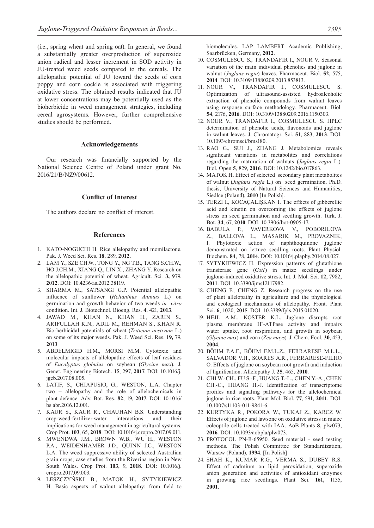(i.e., spring wheat and spring oat). In general, we found a substantially greater overproduction of superoxide anion radical and lesser increment in SOD activity in JU-treated weed seeds compared to the cereals. The allelopathic potential of JU toward the seeds of corn poppy and corn cockle is associated with triggering oxidative stress. The obtained results indicated that JU at lower concentrations may be potentially used as the bioherbicide in weed management strategies, including cereal agrosystems. However, further comprehensive studies should be performed.

#### **Acknowledgements**

Our research was financially supported by the National Science Centre of Poland under grant No. 2016/21/B/NZ9/00612.

# **Conflict of Interest**

The authors declare no conflict of interest.

## **References**

- 1. KATO-NOGUCHI H. Rice allelopathy and momilactone. Pak. J. Weed Sci. Res. **18**, 289, **2012**.
- 2. LAM Y., SZE CH.W., TONG Y., NG T.B., TANG S.CH.W., HO J.CH.M., XIANG Q., LIN X., ZHANG Y. Research on the allelopathic potential of wheat. Agricult. Sci*.* **3,** 979, **2012**. DOI: 10.4236/as.2012.38119.
- 3. SHARMA M., SATSANGI G.P. Potential allelopathic influence of sunflower (*Helianthus Annuus* L.) on germination and growth behavior of two weeds *in- vitro*  condition. Int. J. Biotechnol. Bioeng. Res. **4**, 421, **2013**.
- 4. JAWAD M., KHAN N., KHAN H., ZARIN S., ARIFULLAH K.N., ADIL M., REHMAN S., KHAN R. Bio-herbicidal potentials of wheat (*Triticum aestivum* L.) on some of its major weeds. Pak. J. Weed Sci. Res. **19,** 79, **2013**.
- 5. ABDELMIGID H.M., MORSI M.M. Cytotoxic and molecular impacts of allelopathic effects of leaf residues of *Eucalyptus globulus* on soybean (*Glycine max*). J. Genet. Engineering Biotech. **15**, 297, **2017**. DOI: 10.1016/j. jgeb.2017.08.005.
- 6. LATIF, S., CHIAPUSIO, G., WESTON, L.A. Chapter two − allelopathy and the role of allelochemicals in plant defence. Adv. Bot. Res. **82**, 19, **2017**. DOI: 10.1016/ bs.abr.2016.12.001.
- 7. KAUR S., KAUR R., CHAUHAN B.S. Understanding crop-weed-fertilizer-water interactions and their implications for weed management in agricultural systems. Crop Prot. **103**, 65, **2018**. DOI: 10.1016/j.cropro.2017.09.011.
- 8. MWENDWA J.M., BROWN W.B., WU H., WESTON P.A., WEIDENHAMER J.D., QUINN J.C., WESTON L.A. The weed suppressive ability of selected Australian grain crops; case studies from the Riverina region in New South Wales. Crop Prot. **103**, 9, **2018**. DOI: 10.1016/j. cropro.2017.09.003.
- 9. LESZCZYŃSKI B., MATOK H., SYTYKIEWICZ H. Basic aspects of walnut allelopathy: from field to

biomolecules. LAP LAMBERT Academic Publishing, Saarbrücken, Germany, **2012**.

- 10. COSMULESCU S., TRANDAFIR I., NOUR V. Seasonal variation of the main individual phenolics and juglone in walnut (*Juglans regia*) leaves. Pharmaceut. Biol. **52**, 575, **2014**. DOI: 10.3109/13880209.2013.853813.
- 11. NOUR V., TRANDAFIR I., COSMULESCU S. Optimization of ultrasound-assisted hydroalcoholic extraction of phenolic compounds from walnut leaves using response surface methodology. Pharmaceut. Biol. **54**, 2176, **2016**. DOI: 10.3109/13880209.2016.1150303.
- 12. NOUR V., TRANDAFIR I., COSMULESCU S. HPLC determination of phenolic acids, flavonoids and juglone in walnut leaves. J. Chromatogr. Sci. **51**, 883, **2013**. DOI: 10.1093/chromsci/bms180.
- 13. RAO G., SUI J., ZHANG J. Metabolomics reveals significant variations in metabolites and correlations regarding the maturation of walnuts (*Juglans regia* L.). Biol. Open **5**, 829, **2016**. DOI: 10.1242/bio.017863.
- 14. MATOK H. Effect of selected secondary plant metabolites of walnut (*Juglans regia* L.) on seed germination. Ph.D. thesis, University of Natural Sciences and Humanities, Siedlce (Poland), **2010** [In Polish].
- 15. TERZI I., KOCAÇALIŞKAN I. The effects of gibberellic acid and kinetin on overcoming the effects of juglone stress on seed germination and seedling growth. Turk. J. Bot. **34**, 67, **2010**. DOI: 10.3906/bot-0905-17.
- 16. BABULA P., VAVERKOVA V., POBORILOVA Z., BALLOVA L., MASARIK M., PROVAZNIK, I. Phytotoxic action of naphthoquinone juglone demonstrated on lettuce seedling roots. Plant Physiol. Biochem. **84**, 78, **2014**. DOI: 10.1016/j.plaphy.2014.08.027.
- 17. SYTYKIEWICZ H. Expression patterns of glutathione transferase gene (*GstI*) in maize seedlings under juglone-induced oxidative stress. Int. J. Mol. Sci. **12**, 7982, **2011**. DOI: 10.3390/ijms12117982.
- 18. CHENG F., CHENG Z. Research progress on the use of plant allelopathy in agriculture and the physiological and ecological mechanisms of allelopathy. Front. Plant Sci. **6**, 1020, **2015**. DOI: 10.3389/fpls.2015.01020.
- 19. HEJL A.M., KOSTER K.L. Juglone disrupts root plasma membrane H+-ATPase activity and impairs water uptake, root respiration, and growth in soybean (*Glycine max*) and corn (*Zea mays*). J. Chem. Ecol. **30**, 453, **2004**.
- 20. BÖHM P.A.F., BÖHM F.M.L.Z., FERRARESE M.L.L., SALVADOR V.H., SOARES A.R., FERRARESE-FILHO O. Effects of juglone on soybean root growth and induction of lignification. Allelopathy J. **25**, 465, **2010**.
- 21. CHI W.-CH., FU S.-F., HUANG T.-L., CHEN Y.-A., CHEN CH.-C., HUANG H.-J. Identification of transcriptome profiles and signaling pathways for the allelochemical juglone in rice roots. Plant Mol. Biol. **77**, 591, **2011**. DOI: 10.1007/s11103-011-9841-6.
- 22. KURTYKA R., POKORA W., TUKAJ Z., KARCZ W. Effects of juglone and lawsone on oxidative stress in maize coleoptile cells treated with IAA. AoB Plants **8**, plw073, **2016**. DOI: 10.1093/aobpla/plw073.
- 23. PROTOCOL PN-R-65950. Seed material seed testing methods. The Polish Committee for Standardization, Warsaw (Poland), **1994**. [In Polish]
- 24. SHAH K., KUMAR R.G., VERMA S., DUBEY R.S. Effect of cadmium on lipid peroxidation, superoxide anion generation and activities of antioxidant enzymes in growing rice seedlings. Plant Sci. **161,** 1135, **2001**.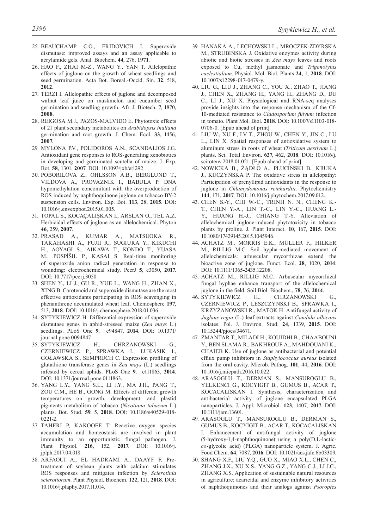- 25. BEAUCHAMP C.O., FRIDOVICH I. Superoxide dismutase: improved assays and an assay applicable to acrylamide gels. Anal. Biochem. **44**, 276, **1971**.
- 26. HAO F., ZHAI M-Z., WANG Y., YAN T. Allelopathic effects of juglone on the growth of wheat seedlings and seed germination. Acta Bot. Boreal.-Occid. Sin. **32**, 518, **2012**.
- 27. TERZI I. Allelopathic effects of juglone and decomposed walnut leaf juice on muskmelon and cucumber seed germination and seedling growth. Afr. J. Biotech. **7**, 1870, **2008**.
- 28. REIGOSA M.J., PAZOS-MALVIDO E. Phytotoxic effects of 21 plant secondary metabolites on *Arabidopsis thaliana* germination and root growth. J. Chem. Ecol. **33**, 1456, **2007**.
- 29. MYLONA P.V., POLIDOROS A.N., SCANDALIOS J.G. Antioxidant gene responses to ROS-generating xenobiotics in developing and germinated scutella of maize. J. Exp. Bot. **58**, 1301, **2007**. DOI: 10.1093/jxb/erl292.
- 30. POBORILOVA Z., OHLSSON A.B., BERGLUND T., VILDOVA A., PROVAZNIK I., BABULA P. DNA hypomethylation concomitant with the overproduction of ROS induced by naphthoquinone juglone on tobacco BY-2 suspension cells. Environ. Exp. Bot. **113**, 28, **2015**. DOI: 10.1016/j.envexpbot.2015.01.005.
- 31. TOPAL S., KOCAÇALIŞKAN I., ARSLAN O., TEL A.Z. Herbicidal effects of juglone as an allelochemical. Phyton **46**, 259, **2007**.
- 32. PRASAD A., KUMAR A., MATSUOKA R., TAKAHASHI A., FUJII R., SUGIURA Y., KIKUCHI H., AOYAGI S., AIKAWA T., KONDO T., YUASA M., POSPÍŠIL P., KASAI S. Real-time monitoring of superoxide anion radical generation in response to wounding: electrochemical study. PeerJ **5**, e3050, **2017**. DOI: 10.7717/peerj.3050.
- 33. SHEN Y., LI J., GU R., YUE L., WANG H., ZHAN X., XING B. Carotenoid and superoxide dismutase are the most effective antioxidants participating in ROS scavenging in phenanthrene accumulated wheat leaf. Chemosphere **197**, 513, **2018**. DOI: 10.1016/j.chemosphere.2018.01.036.
- 34. SYTYKIEWICZ H. Differential expression of superoxide dismutase genes in aphid-stressed maize (*Zea mays* L.) seedlings. PLoS One **9**, e94847, **2014**. DOI: 10.1371/ journal.pone.0094847.
- 35. SYTYKIEWICZ H., CHRZANOWSKI G., CZERNIEWICZ P., SPRAWKA I., ŁUKASIK I., GOŁAWSKA S., SEMPRUCH C. Expression profiling of glutathione transferase genes in *Zea mays* (L.) seedlings infested by cereal aphids. PLoS One **9**, e111863, **2014**. DOI: 10.1371/journal.pone.0111863.
- 36. YANG L.Y., YANG S.L., LI J.Y., MA J.H., PANG T., ZOU C.M., HE B., GONG M. Effects of different growth temperatures on growth, development, and plastid pigments metabolism of tobacco (*Nicotiana tabacum* L.) plants. Bot. Stud. **59**, 5, **2018**. DOI: 10.1186/s40529-018- 0221-2.
- 37. TAHERI P, KAKOOEE T. Reactive oxygen species accumulation and homeostasis are involved in plant immunity to an opportunistic fungal pathogen. J. Plant Physiol. **216**, 152, **2017**. DOI: 10.1016/j. jplph.2017.04.018.
- 38. ARFAOUI A., EL HADRAMI A., DAAYF F. Pretreatment of soybean plants with calcium stimulates ROS responses and mitigates infection by *Sclerotinia sclerotiorum*. Plant Physiol. Biochem. **122**, 121, **2018**. DOI: 10.1016/j.plaphy.2017.11.014.
- 39. HANAKA A., LECHOWSKI L., MROCZEK-ZDYRSKA M., STRUBIŃSKA J. Oxidative enzymes activity during abiotic and biotic stresses in *Zea mays* leaves and roots exposed to Cu, methyl jasmonate and *Trigonotylus caelestialium*. Physiol. Mol. Biol. Plants **24**, 1, **2018**. DOI: 10.1007/s12298-017-0479-y.
- 40. LIU G., LIU J., ZHANG C., YOU X., ZHAO T., JIANG J., CHEN X., ZHANG H., YANG H., ZHANG D., DU C., LI J., XU X. Physiological and RNA-seq analyses provide insights into the response mechanism of the Cf-10-mediated resistance to *Cladosporium fulvum* infection in tomato. Plant Mol. Biol. **2018**. DOI: 10.1007/s11103-018- 0706-0. [Epub ahead of print]
- 41. LIU W., XU F., LV T., ZHOU W., CHEN Y., JIN C., LU L., LIN X. Spatial responses of antioxidative system to aluminum stress in roots of wheat (*Triticum aestivum* L.) plants. Sci. Total Environ. **627**, 462, **2018**. DOI: 10.1016/j. scitotenv.2018.01.021. [Epub ahead of print]
- 42. NOWICKA B., ŻĄDŁO A., PLUCIŃSKI B., KRUKA J., KUCZYŃSKA P. The oxidative stress in allelopathy: Participation of prenyllipid antioxidants in the response to juglone in *Chlamydomonas reinhardtii*. Phytochemistry **144**, 171, **2017**. DOI: 10.1016/j.phytochem.2017.09.012.
- 43. CHEN S.-Y., CHI W.-C., TRINH N. N., CHENG K.- T., CHEN Y.-A., LIN T.-C., LIN Y.-C., HUANG L.- Y., HUANG H.-J., CHIANG T.-Y. Alleviation of allelochemical juglone-induced phytotoxicity in tobacco plants by proline. J. Plant Interact. **10**, 167, **2015**. DOI: 10.1080/17429145.2015.1045946.
- 44. ACHATZ M., MORRIS E.K., MÜLLER F., HILKER M., RILLIG M.C. Soil hypha-mediated movement of allelochemicals: arbuscular mycorrhizae extend the bioactive zone of juglone. Funct. Ecol. **28**, 1020, **2014**. DOI: 10.1111/1365-2435.12208.
- 45. ACHATZ M., RILLIG M.C. Arbuscular mycorrhizal fungal hyphae enhance transport of the allelochemical juglone in the field. Soil Biol. Biochem., **78**, 76, **2014**.
- 46. SYTYKIEWICZ H., CHRZANOWSKI G., CZERNIEWICZ P., LESZCZYNSKI B., SPRAWKA I., KRZYŻANOWSKI R., MATOK H. Antifungal activity of *Juglans regia* (L.) leaf extracts against *Candida albicans* isolates. Pol. J. Environ. Stud. **24**, 1339, **2015**. DOI: 10.15244/pjoes/34671.
- 47. ZMANTAR T., MILADI H., KOUIDHI B., CHAABOUNI Y., BEN SLAMA R., BAKHROUF A., MAHDOUANI K., CHAIEB K. Use of juglone as antibacterial and potential efflux pump inhibitors in *Staphylococcus aureus* isolated from the oral cavity. Microb. Pathog. **101**, 44, **2016**. DOI: 10.1016/j.micpath.2016.10.022.
- 48. ARASOGLU T., DERMAN S., MANSUROGLU B., YELKENCI G., KOCYIGIT B., GUMUS B., ACAR T., KOCACALISKAN I. Synthesis, characterization and antibacterial activity of juglone encapsulated PLGA nanoparticles. J. Appl. Microbiol. **123**, 1407, **2017**. DOI: 10.1111/jam.13601.
- 49. ARASOGLU T., MANSUROGLU B., DERMAN S., GUMUS B., KOCYIGIT B., ACAR T., KOCACALISKAN I. Enhancement of antifungal activity of juglone (5-hydroxy-1,4-naphthoquinone) using a poly(D,L-lactic*co*-glycolic acid) (PLGA) nanoparticle system. J. Agric. Food Chem. **64**, 7087, **2016**. DOI: 10.1021/acs.jafc.6b03309.
- 50. SHANG X.F., LIU Y.Q., GUO X., MIAO X.L., CHEN C., ZHANG J.X., XU X.S., YANG G.Z., YANG C.J., LI J.C., ZHANG X.S. Application of sustainable natural resources in agriculture: acaricidal and enzyme inhibitory activities of naphthoquinones and their analogs against *Psoroptes*